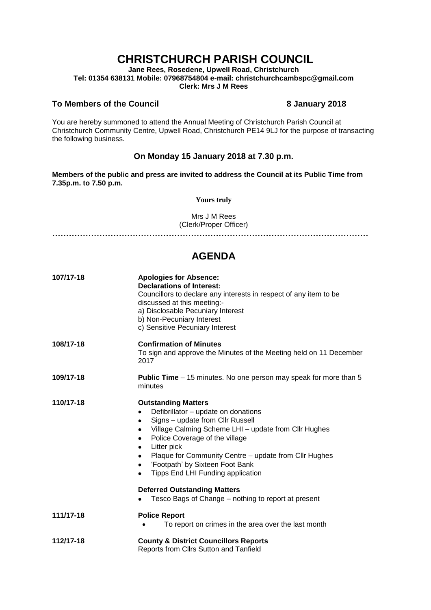# **CHRISTCHURCH PARISH COUNCIL**

**Jane Rees, Rosedene, Upwell Road, Christchurch Tel: 01354 638131 Mobile: 07968754804 e-mail: christchurchcambspc@gmail.com Clerk: Mrs J M Rees**

### **To Members of the Council 8 January 2018**

You are hereby summoned to attend the Annual Meeting of Christchurch Parish Council at Christchurch Community Centre, Upwell Road, Christchurch PE14 9LJ for the purpose of transacting the following business.

## **On Monday 15 January 2018 at 7.30 p.m.**

**Members of the public and press are invited to address the Council at its Public Time from 7.35p.m. to 7.50 p.m.** 

**Yours truly**

Mrs J M Rees (Clerk/Proper Officer)

**……………………………………………………………………………………………………**

## **AGENDA**

| 107/17-18 | <b>Apologies for Absence:</b><br><b>Declarations of Interest:</b><br>Councillors to declare any interests in respect of any item to be<br>discussed at this meeting:-<br>a) Disclosable Pecuniary Interest<br>b) Non-Pecuniary Interest<br>c) Sensitive Pecuniary Interest                                                                                                            |
|-----------|---------------------------------------------------------------------------------------------------------------------------------------------------------------------------------------------------------------------------------------------------------------------------------------------------------------------------------------------------------------------------------------|
| 108/17-18 | <b>Confirmation of Minutes</b><br>To sign and approve the Minutes of the Meeting held on 11 December<br>2017                                                                                                                                                                                                                                                                          |
| 109/17-18 | <b>Public Time</b> – 15 minutes. No one person may speak for more than 5<br>minutes                                                                                                                                                                                                                                                                                                   |
| 110/17-18 | <b>Outstanding Matters</b><br>Defibrillator - update on donations<br>Signs - update from Cllr Russell<br>٠<br>Village Calming Scheme LHI - update from Cllr Hughes<br>٠<br>Police Coverage of the village<br>٠<br>Litter pick<br>٠<br>Plaque for Community Centre - update from Cllr Hughes<br>٠<br>'Footpath' by Sixteen Foot Bank<br>Tipps End LHI Funding application<br>$\bullet$ |
|           | <b>Deferred Outstanding Matters</b><br>Tesco Bags of Change – nothing to report at present                                                                                                                                                                                                                                                                                            |
| 111/17-18 | <b>Police Report</b><br>To report on crimes in the area over the last month                                                                                                                                                                                                                                                                                                           |
| 112/17-18 | <b>County &amp; District Councillors Reports</b><br>Reports from Cllrs Sutton and Tanfield                                                                                                                                                                                                                                                                                            |